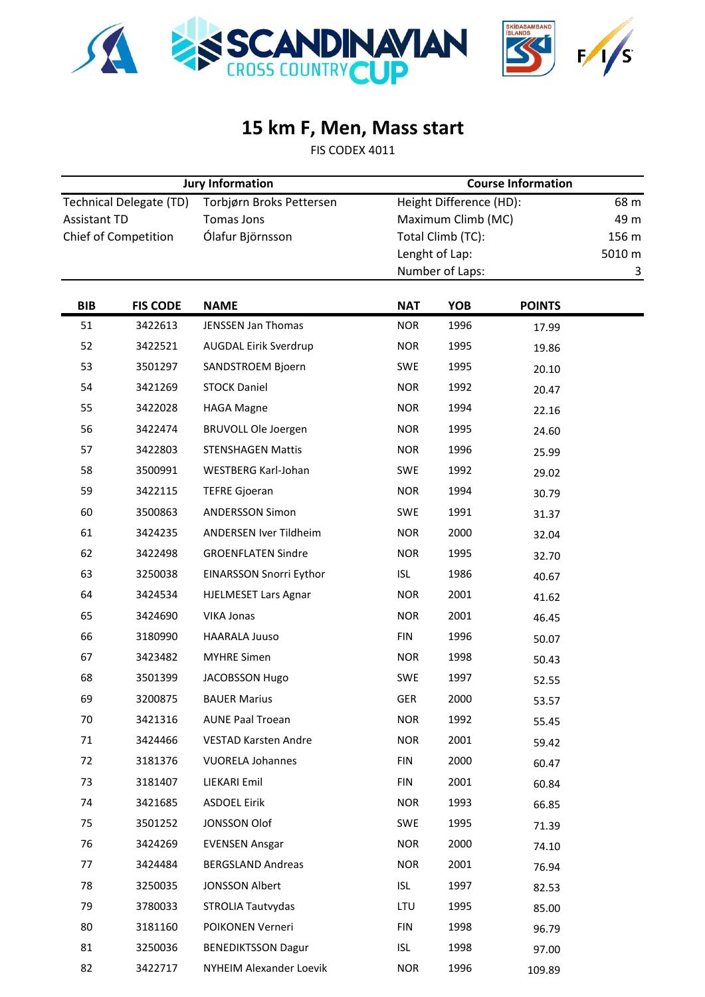



## **15 km F, Men, Mass start**

FIS CODEX 4011

| <b>Jury Information</b>        |                 |                             | <b>Course Information</b> |                   |               |        |  |
|--------------------------------|-----------------|-----------------------------|---------------------------|-------------------|---------------|--------|--|
| <b>Technical Delegate (TD)</b> |                 | Torbjørn Broks Pettersen    | Height Difference (HD):   |                   |               | 68 m   |  |
| <b>Assistant TD</b>            |                 | <b>Tomas Jons</b>           | Maximum Climb (MC)        |                   | 49 m          |        |  |
| <b>Chief of Competition</b>    |                 | Ólafur Björnsson            |                           | Total Climb (TC): |               | 156 m  |  |
|                                |                 |                             | Lenght of Lap:            |                   |               | 5010 m |  |
|                                |                 |                             |                           | Number of Laps:   |               | 3      |  |
| <b>BIB</b>                     | <b>FIS CODE</b> | <b>NAME</b>                 | <b>NAT</b>                | <b>YOB</b>        | <b>POINTS</b> |        |  |
| 51                             | 3422613         | <b>JENSSEN Jan Thomas</b>   | <b>NOR</b>                | 1996              | 17.99         |        |  |
| 52                             | 3422521         | AUGDAL Eirik Sverdrup       | <b>NOR</b>                | 1995              | 19.86         |        |  |
| 53                             | 3501297         | SANDSTROEM Bjoern           | SWE                       | 1995              | 20.10         |        |  |
| 54                             | 3421269         | <b>STOCK Daniel</b>         | <b>NOR</b>                | 1992              | 20.47         |        |  |
| 55                             | 3422028         | <b>HAGA Magne</b>           | <b>NOR</b>                | 1994              | 22.16         |        |  |
| 56                             | 3422474         | <b>BRUVOLL Ole Joergen</b>  | <b>NOR</b>                | 1995              | 24.60         |        |  |
| 57                             | 3422803         | <b>STENSHAGEN Mattis</b>    | <b>NOR</b>                | 1996              | 25.99         |        |  |
| 58                             | 3500991         | WESTBERG Karl-Johan         | SWE                       | 1992              | 29.02         |        |  |
| 59                             | 3422115         | <b>TEFRE Gjoeran</b>        | <b>NOR</b>                | 1994              | 30.79         |        |  |
| 60                             | 3500863         | <b>ANDERSSON Simon</b>      | SWE                       | 1991              | 31.37         |        |  |
| 61                             | 3424235         | ANDERSEN Iver Tildheim      | <b>NOR</b>                | 2000              | 32.04         |        |  |
| 62                             | 3422498         | <b>GROENFLATEN Sindre</b>   | <b>NOR</b>                | 1995              | 32.70         |        |  |
| 63                             | 3250038         | EINARSSON Snorri Eythor     | <b>ISL</b>                | 1986              | 40.67         |        |  |
| 64                             | 3424534         | <b>HJELMESET Lars Agnar</b> | <b>NOR</b>                | 2001              | 41.62         |        |  |
| 65                             | 3424690         | <b>VIKA Jonas</b>           | <b>NOR</b>                | 2001              | 46.45         |        |  |
| 66                             | 3180990         | <b>HAARALA Juuso</b>        | <b>FIN</b>                | 1996              | 50.07         |        |  |
| 67                             | 3423482         | <b>MYHRE Simen</b>          | <b>NOR</b>                | 1998              | 50.43         |        |  |
| 68                             | 3501399         | JACOBSSON Hugo              | SWE                       | 1997              | 52.55         |        |  |
| 69                             | 3200875         | <b>BAUER Marius</b>         | <b>GER</b>                | 2000              | 53.57         |        |  |
| 70                             | 3421316         | <b>AUNE Paal Troean</b>     | <b>NOR</b>                | 1992              | 55.45         |        |  |
| 71                             | 3424466         | <b>VESTAD Karsten Andre</b> | <b>NOR</b>                | 2001              | 59.42         |        |  |
| 72                             | 3181376         | <b>VUORELA Johannes</b>     | <b>FIN</b>                | 2000              | 60.47         |        |  |
| 73                             | 3181407         | LIEKARI Emil                | <b>FIN</b>                | 2001              | 60.84         |        |  |
| 74                             | 3421685         | <b>ASDOEL Eirik</b>         | <b>NOR</b>                | 1993              | 66.85         |        |  |
| 75                             | 3501252         | JONSSON Olof                | SWE                       | 1995              | 71.39         |        |  |
| 76                             | 3424269         | <b>EVENSEN Ansgar</b>       | <b>NOR</b>                | 2000              | 74.10         |        |  |
| 77                             | 3424484         | <b>BERGSLAND Andreas</b>    | <b>NOR</b>                | 2001              | 76.94         |        |  |
| 78                             | 3250035         | <b>JONSSON Albert</b>       | <b>ISL</b>                | 1997              | 82.53         |        |  |
| 79                             | 3780033         | STROLIA Tautvydas           | LTU                       | 1995              | 85.00         |        |  |
| 80                             | 3181160         | POIKONEN Verneri            | <b>FIN</b>                | 1998              | 96.79         |        |  |
| 81                             | 3250036         | <b>BENEDIKTSSON Dagur</b>   | <b>ISL</b>                | 1998              | 97.00         |        |  |
| 82                             | 3422717         | NYHEIM Alexander Loevik     | <b>NOR</b>                | 1996              | 109.89        |        |  |